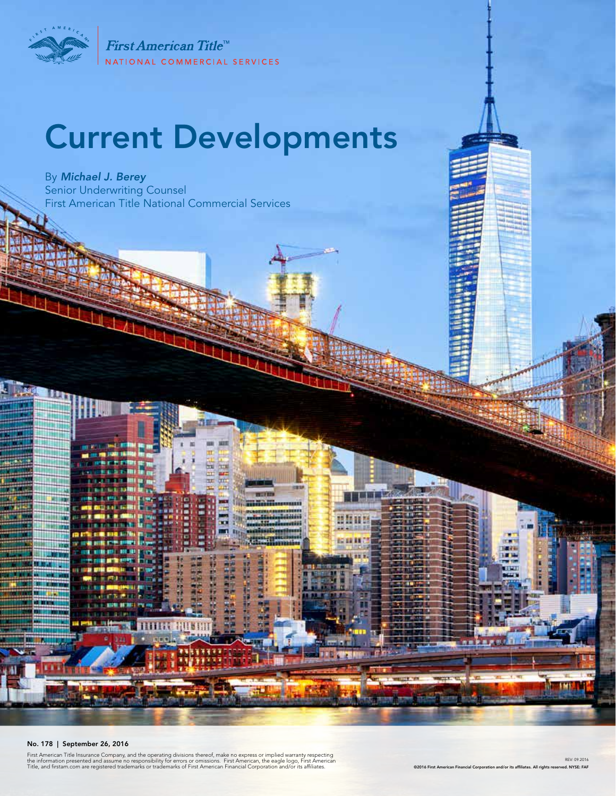

First American Title<sup>™</sup> NATIONAL COMMERCIAL SERVICES

# Current Developments

Ξ

By *Michael J. Berey*  Senior Underwriting Counsel First American Title National Commercial Services



First American Title Insurance Company, and the operating divisions thereof, make no express or implied warranty respecting<br>the information presented and assume no responsibility for errors or omissions. First American, th

T

REV: 09.2016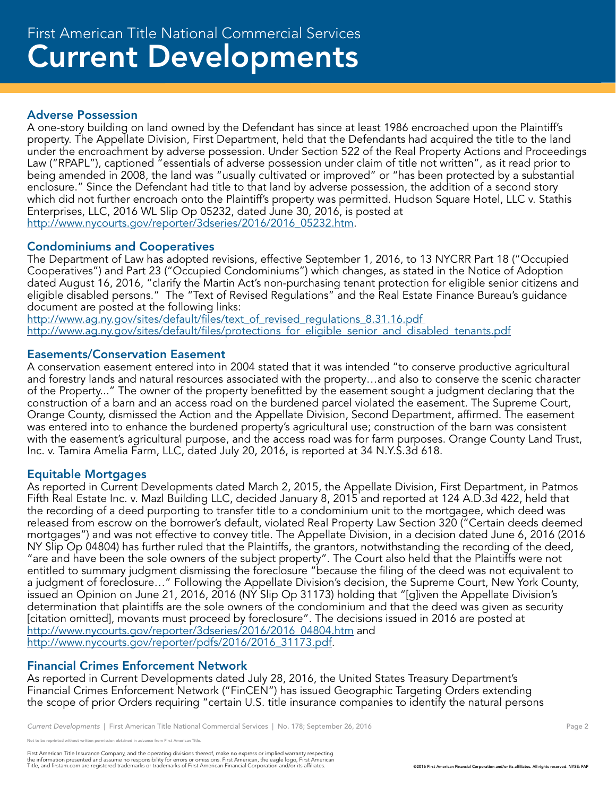### Adverse Possession

A one-story building on land owned by the Defendant has since at least 1986 encroached upon the Plaintiff's property. The Appellate Division, First Department, held that the Defendants had acquired the title to the land under the encroachment by adverse possession. Under Section 522 of the Real Property Actions and Proceedings Law ("RPAPL"), captioned "essentials of adverse possession under claim of title not written", as it read prior to being amended in 2008, the land was "usually cultivated or improved" or "has been protected by a substantial enclosure." Since the Defendant had title to that land by adverse possession, the addition of a second story which did not further encroach onto the Plaintiff's property was permitted. Hudson Square Hotel, LLC v. Stathis Enterprises, LLC, 2016 WL Slip Op 05232, dated June 30, 2016, is posted at http://www.nycourts.gov/reporter/3dseries/2016/2016\_05232.htm.

## Condominiums and Cooperatives

The Department of Law has adopted revisions, effective September 1, 2016, to 13 NYCRR Part 18 ("Occupied Cooperatives") and Part 23 ("Occupied Condominiums") which changes, as stated in the Notice of Adoption dated August 16, 2016, "clarify the Martin Act's non-purchasing tenant protection for eligible senior citizens and eligible disabled persons." The "Text of Revised Regulations" and the Real Estate Finance Bureau's guidance document are posted at the following links:

http://www.ag.ny.gov/sites/default/files/text\_of\_revised\_regulations\_8.31.16.pdf http://www.ag.ny.gov/sites/default/files/protections\_for\_eligible\_senior\_and\_disabled\_tenants.pdf

#### Easements/Conservation Easement

A conservation easement entered into in 2004 stated that it was intended "to conserve productive agricultural and forestry lands and natural resources associated with the property…and also to conserve the scenic character of the Property..." The owner of the property benefitted by the easement sought a judgment declaring that the construction of a barn and an access road on the burdened parcel violated the easement. The Supreme Court, Orange County, dismissed the Action and the Appellate Division, Second Department, affirmed. The easement was entered into to enhance the burdened property's agricultural use; construction of the barn was consistent with the easement's agricultural purpose, and the access road was for farm purposes. Orange County Land Trust, Inc. v. Tamira Amelia Farm, LLC, dated July 20, 2016, is reported at 34 N.Y.S.3d 618.

#### Equitable Mortgages

As reported in Current Developments dated March 2, 2015, the Appellate Division, First Department, in Patmos Fifth Real Estate Inc. v. Mazl Building LLC, decided January 8, 2015 and reported at 124 A.D.3d 422, held that the recording of a deed purporting to transfer title to a condominium unit to the mortgagee, which deed was released from escrow on the borrower's default, violated Real Property Law Section 320 ("Certain deeds deemed mortgages") and was not effective to convey title. The Appellate Division, in a decision dated June 6, 2016 (2016 NY Slip Op 04804) has further ruled that the Plaintiffs, the grantors, notwithstanding the recording of the deed, "are and have been the sole owners of the subject property". The Court also held that the Plaintiffs were not entitled to summary judgment dismissing the foreclosure "because the filing of the deed was not equivalent to a judgment of foreclosure…" Following the Appellate Division's decision, the Supreme Court, New York County, issued an Opinion on June 21, 2016, 2016 (NY Slip Op 31173) holding that "[g]iven the Appellate Division's determination that plaintiffs are the sole owners of the condominium and that the deed was given as security [citation omitted], movants must proceed by foreclosure". The decisions issued in 2016 are posted at http://www.nycourts.gov/reporter/3dseries/2016/2016\_04804.htm and http://www.nycourts.gov/reporter/pdfs/2016/2016\_31173.pdf.

#### Financial Crimes Enforcement Network

As reported in Current Developments dated July 28, 2016, the United States Treasury Department's Financial Crimes Enforcement Network ("FinCEN") has issued Geographic Targeting Orders extending the scope of prior Orders requiring "certain U.S. title insurance companies to identify the natural persons

*Current Developments* | First American Title National Commercial Services | No. 178; September 26, 2016 **Page 2** Page 2

eprinted without written permission obtained in advance from First American Title.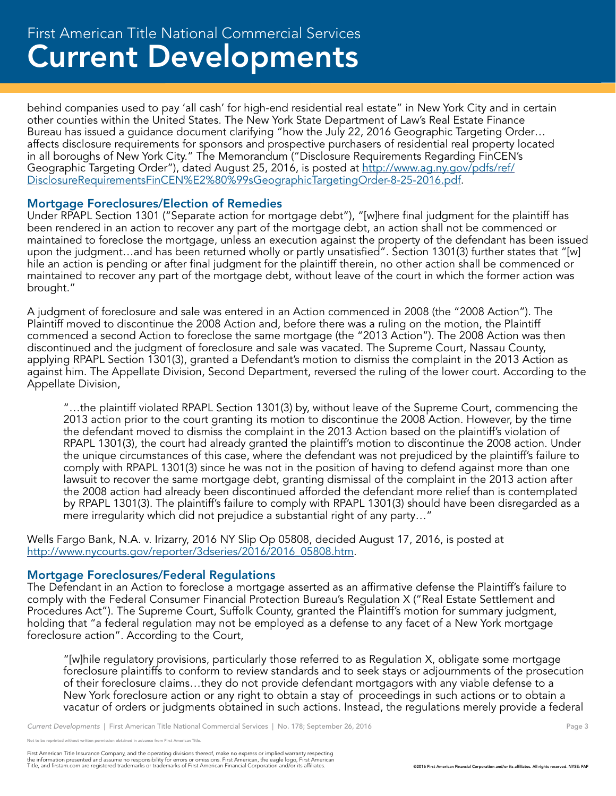# Current Developments First American Title National Commercial Services

behind companies used to pay 'all cash' for high-end residential real estate" in New York City and in certain other counties within the United States. The New York State Department of Law's Real Estate Finance Bureau has issued a guidance document clarifying "how the July 22, 2016 Geographic Targeting Order... affects disclosure requirements for sponsors and prospective purchasers of residential real property located in all boroughs of New York City." The Memorandum ("Disclosure Requirements Regarding FinCEN's Geographic Targeting Order"), dated August 25, 2016, is posted at http://www.ag.ny.gov/pdfs/ref/ [DisclosureRequirementsFinCEN%E2%80%99sGeographicTargetingOrder-8-25-2016.pdf.](http://www.ag.ny.gov/pdfs/ref/DisclosureRequirementsFinCEN%E2%80%99sGeographicTargetingOrder-8-25-2016.pdf) 

#### Mortgage Foreclosures/Election of Remedies

Under RPAPL Section 1301 ("Separate action for mortgage debt"), "[w]here final judgment for the plaintiff has been rendered in an action to recover any part of the mortgage debt, an action shall not be commenced or maintained to foreclose the mortgage, unless an execution against the property of the defendant has been issued upon the judgment…and has been returned wholly or partly unsatisfied". Section 1301(3) further states that "[w] hile an action is pending or after final judgment for the plaintiff therein, no other action shall be commenced or maintained to recover any part of the mortgage debt, without leave of the court in which the former action was brought."

A judgment of foreclosure and sale was entered in an Action commenced in 2008 (the "2008 Action"). The Plaintiff moved to discontinue the 2008 Action and, before there was a ruling on the motion, the Plaintiff commenced a second Action to foreclose the same mortgage (the "2013 Action"). The 2008 Action was then discontinued and the judgment of foreclosure and sale was vacated. The Supreme Court, Nassau County, applying RPAPL Section 1301(3), granted a Defendant's motion to dismiss the complaint in the 2013 Action as against him. The Appellate Division, Second Department, reversed the ruling of the lower court. According to the Appellate Division,

"…the plaintiff violated RPAPL Section 1301(3) by, without leave of the Supreme Court, commencing the 2013 action prior to the court granting its motion to discontinue the 2008 Action. However, by the time the defendant moved to dismiss the complaint in the 2013 Action based on the plaintiff's violation of RPAPL 1301(3), the court had already granted the plaintiff's motion to discontinue the 2008 action. Under the unique circumstances of this case, where the defendant was not prejudiced by the plaintiff's failure to comply with RPAPL 1301(3) since he was not in the position of having to defend against more than one lawsuit to recover the same mortgage debt, granting dismissal of the complaint in the 2013 action after the 2008 action had already been discontinued afforded the defendant more relief than is contemplated by RPAPL 1301(3). The plaintiff's failure to comply with RPAPL 1301(3) should have been disregarded as a mere irregularity which did not prejudice a substantial right of any party…"

Wells Fargo Bank, N.A. v. Irizarry, 2016 NY Slip Op 05808, decided August 17, 2016, is posted at http://www.nycourts.gov/reporter/3dseries/2016/2016\_05808.htm.

#### Mortgage Foreclosures/Federal Regulations

The Defendant in an Action to foreclose a mortgage asserted as an affirmative defense the Plaintiff's failure to comply with the Federal Consumer Financial Protection Bureau's Regulation X ("Real Estate Settlement and Procedures Act"). The Supreme Court, Suffolk County, granted the Plaintiff's motion for summary judgment, holding that "a federal regulation may not be employed as a defense to any facet of a New York mortgage foreclosure action". According to the Court,

"[w]hile regulatory provisions, particularly those referred to as Regulation X, obligate some mortgage foreclosure plaintiffs to conform to review standards and to seek stays or adjournments of the prosecution of their foreclosure claims…they do not provide defendant mortgagors with any viable defense to a New York foreclosure action or any right to obtain a stay of proceedings in such actions or to obtain a vacatur of orders or judgments obtained in such actions. Instead, the regulations merely provide a federal

```
Current Developments | First American Title National Commercial Services | No. 178; September 26, 2016 Page 3 Page 3
```
e reprinted without written permission obtained in advance from First American Title.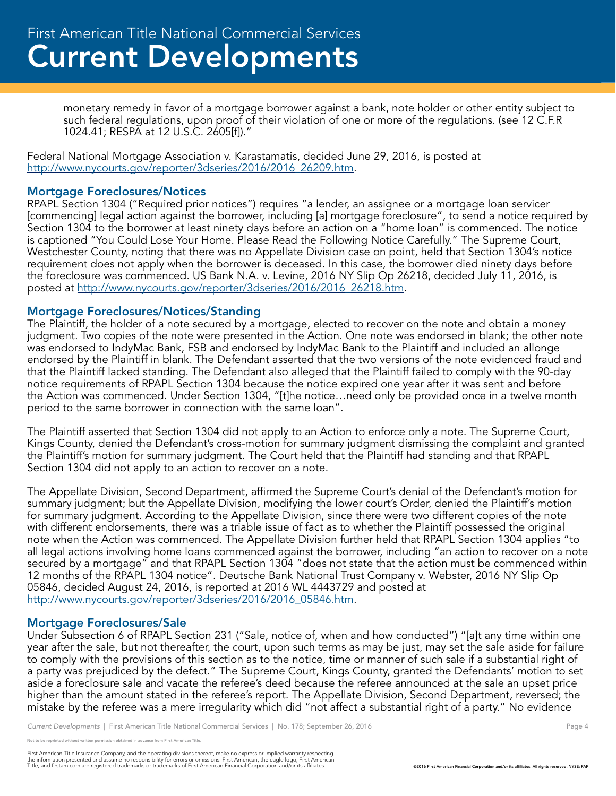monetary remedy in favor of a mortgage borrower against a bank, note holder or other entity subject to such federal regulations, upon proof of their violation of one or more of the regulations. (see 12 C.F.R 1024.41; RESPA at 12 U.S.C. 2605[f])."

Federal National Mortgage Association v. Karastamatis, decided June 29, 2016, is posted at http://www.nycourts.gov/reporter/3dseries/2016/2016\_26209.htm.

#### Mortgage Foreclosures/Notices

RPAPL Section 1304 ("Required prior notices") requires "a lender, an assignee or a mortgage loan servicer [commencing] legal action against the borrower, including [a] mortgage foreclosure", to send a notice required by Section 1304 to the borrower at least ninety days before an action on a "home loan" is commenced. The notice is captioned "You Could Lose Your Home. Please Read the Following Notice Carefully." The Supreme Court, Westchester County, noting that there was no Appellate Division case on point, held that Section 1304's notice requirement does not apply when the borrower is deceased. In this case, the borrower died ninety days before the foreclosure was commenced. US Bank N.A. v. Levine, 2016 NY Slip Op 26218, decided July 11, 2016, is posted at http://www.nycourts.gov/reporter/3dseries/2016/2016\_26218.htm.

#### Mortgage Foreclosures/Notices/Standing

The Plaintiff, the holder of a note secured by a mortgage, elected to recover on the note and obtain a money judgment. Two copies of the note were presented in the Action. One note was endorsed in blank; the other note was endorsed to IndyMac Bank, FSB and endorsed by IndyMac Bank to the Plaintiff and included an allonge endorsed by the Plaintiff in blank. The Defendant asserted that the two versions of the note evidenced fraud and that the Plaintiff lacked standing. The Defendant also alleged that the Plaintiff failed to comply with the 90-day notice requirements of RPAPL Section 1304 because the notice expired one year after it was sent and before the Action was commenced. Under Section 1304, "[t]he notice…need only be provided once in a twelve month period to the same borrower in connection with the same loan".

The Plaintiff asserted that Section 1304 did not apply to an Action to enforce only a note. The Supreme Court, Kings County, denied the Defendant's cross-motion for summary judgment dismissing the complaint and granted the Plaintiff's motion for summary judgment. The Court held that the Plaintiff had standing and that RPAPL Section 1304 did not apply to an action to recover on a note.

The Appellate Division, Second Department, affirmed the Supreme Court's denial of the Defendant's motion for summary judgment; but the Appellate Division, modifying the lower court's Order, denied the Plaintiff's motion for summary judgment. According to the Appellate Division, since there were two different copies of the note with different endorsements, there was a triable issue of fact as to whether the Plaintiff possessed the original note when the Action was commenced. The Appellate Division further held that RPAPL Section 1304 applies "to all legal actions involving home loans commenced against the borrower, including "an action to recover on a note secured by a mortgage" and that RPAPL Section 1304 "does not state that the action must be commenced within 12 months of the RPAPL 1304 notice". Deutsche Bank National Trust Company v. Webster, 2016 NY Slip Op 05846, decided August 24, 2016, is reported at 2016 WL 4443729 and posted at http://www.nycourts.gov/reporter/3dseries/2016/2016\_05846.htm.

#### Mortgage Foreclosures/Sale

Under Subsection 6 of RPAPL Section 231 ("Sale, notice of, when and how conducted") "[a]t any time within one year after the sale, but not thereafter, the court, upon such terms as may be just, may set the sale aside for failure to comply with the provisions of this section as to the notice, time or manner of such sale if a substantial right of a party was prejudiced by the defect." The Supreme Court, Kings County, granted the Defendants' motion to set aside a foreclosure sale and vacate the referee's deed because the referee announced at the sale an upset price higher than the amount stated in the referee's report. The Appellate Division, Second Department, reversed; the mistake by the referee was a mere irregularity which did "not affect a substantial right of a party." No evidence

printed without written permission obtained in advance from First American Title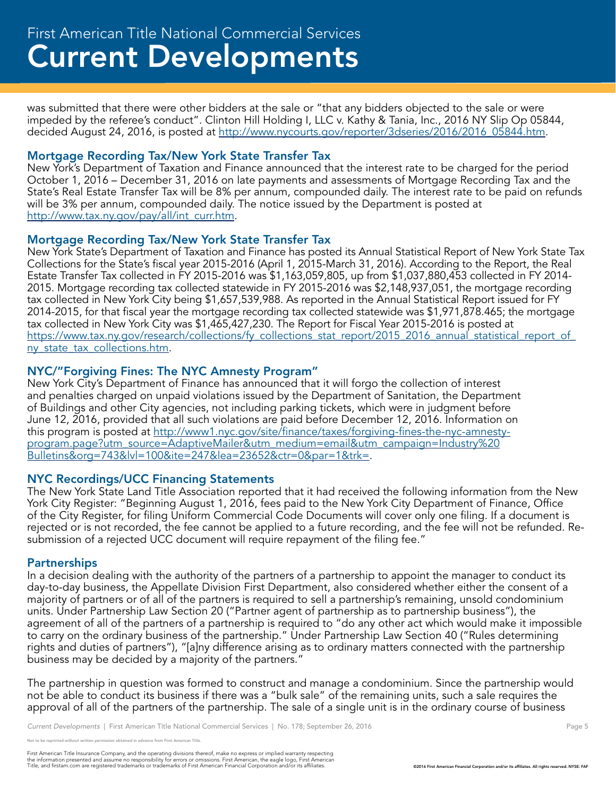was submitted that there were other bidders at the sale or "that any bidders objected to the sale or were impeded by the referee's conduct". Clinton Hill Holding I, LLC v. Kathy & Tania, Inc., 2016 NY Slip Op 05844, decided August 24, 2016, is posted at http://www.nycourts.gov/reporter/3dseries/2016/2016\_05844.htm.

#### Mortgage Recording Tax/New York State Transfer Tax

New York's Department of Taxation and Finance announced that the interest rate to be charged for the period October 1, 2016 – December 31, 2016 on late payments and assessments of Mortgage Recording Tax and the State's Real Estate Transfer Tax will be 8% per annum, compounded daily. The interest rate to be paid on refunds will be 3% per annum, compounded daily. The notice issued by the Department is posted at http://www.tax.ny.gov/pay/all/int\_curr.htm.

#### Mortgage Recording Tax/New York State Transfer Tax

New York State's Department of Taxation and Finance has posted its Annual Statistical Report of New York State Tax Collections for the State's fiscal year 2015-2016 (April 1, 2015-March 31, 2016). According to the Report, the Real Estate Transfer Tax collected in FY 2015-2016 was \$1,163,059,805, up from \$1,037,880,453 collected in FY 2014- 2015. Mortgage recording tax collected statewide in FY 2015-2016 was \$2,148,937,051, the mortgage recording tax collected in New York City being \$1,657,539,988. As reported in the Annual Statistical Report issued for FY 2014-2015, for that fiscal year the mortgage recording tax collected statewide was \$1,971,878.465; the mortgage tax collected in New York City was \$1,465,427,230. The Report for Fiscal Year 2015-2016 is posted at https://www.tax.ny.gov/research/collections/fy\_collections\_stat\_report/2015\_2016\_annual\_statistical\_report\_of ny\_state\_tax\_collections.htm.

#### NYC/"Forgiving Fines: The NYC Amnesty Program"

New York City's Department of Finance has announced that it will forgo the collection of interest and penalties charged on unpaid violations issued by the Department of Sanitation, the Department of Buildings and other City agencies, not including parking tickets, which were in judgment before June 12, 2016, provided that all such violations are paid before December 12, 2016. Information on this program is posted at http://www1.nyc.gov/site/finance/taxes/forgiving-fines-the-nyc-amnestyprogram.page?utm\_source=AdaptiveMailer&utm\_medium=email&utm\_campaign=Industry%20 Bulletins&org=743&lvl=100&ite=247&lea=23652&ctr=0&par=1&trk=.

#### NYC Recordings/UCC Financing Statements

The New York State Land Title Association reported that it had received the following information from the New York City Register: "Beginning August 1, 2016, fees paid to the New York City Department of Finance, Office of the City Register, for filing Uniform Commercial Code Documents will cover only one filing. If a document is rejected or is not recorded, the fee cannot be applied to a future recording, and the fee will not be refunded. Resubmission of a rejected UCC document will require repayment of the filing fee."

#### **Partnerships**

In a decision dealing with the authority of the partners of a partnership to appoint the manager to conduct its day-to-day business, the Appellate Division First Department, also considered whether either the consent of a majority of partners or of all of the partners is required to sell a partnership's remaining, unsold condominium units. Under Partnership Law Section 20 ("Partner agent of partnership as to partnership business"), the agreement of all of the partners of a partnership is required to "do any other act which would make it impossible to carry on the ordinary business of the partnership." Under Partnership Law Section 40 ("Rules determining rights and duties of partners"), "[a]ny difference arising as to ordinary matters connected with the partnership business may be decided by a majority of the partners."

The partnership in question was formed to construct and manage a condominium. Since the partnership would not be able to conduct its business if there was a "bulk sale" of the remaining units, such a sale requires the approval of all of the partners of the partnership. The sale of a single unit is in the ordinary course of business

*Current Developments* | First American Title National Commercial Services | No. 178; September 26, 2016 **Page 5** 

not reprinted without written permission obtained in advance from First American Title.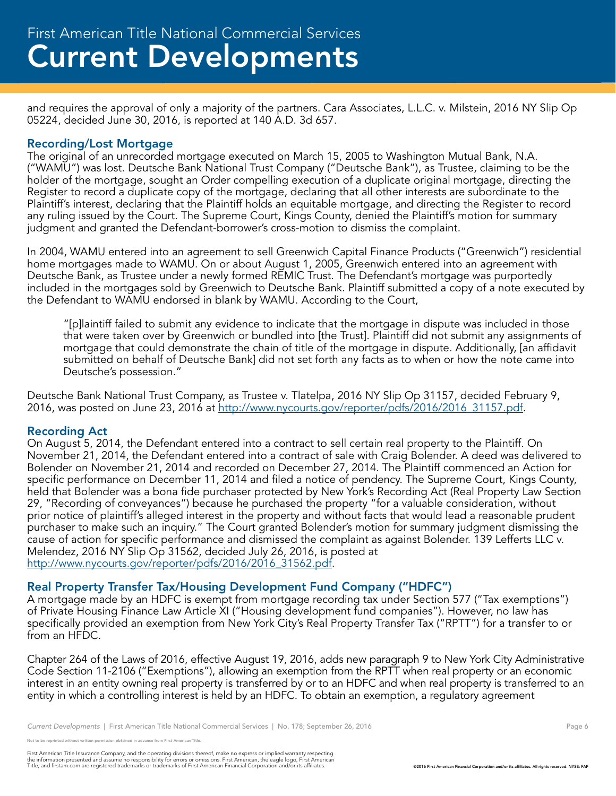and requires the approval of only a majority of the partners. Cara Associates, L.L.C. v. Milstein, 2016 NY Slip Op 05224, decided June 30, 2016, is reported at 140 A.D. 3d 657.

### Recording/Lost Mortgage

The original of an unrecorded mortgage executed on March 15, 2005 to Washington Mutual Bank, N.A. ("WAMU") was lost. Deutsche Bank National Trust Company ("Deutsche Bank"), as Trustee, claiming to be the holder of the mortgage, sought an Order compelling execution of a duplicate original mortgage, directing the Register to record a duplicate copy of the mortgage, declaring that all other interests are subordinate to the Plaintiff's interest, declaring that the Plaintiff holds an equitable mortgage, and directing the Register to record any ruling issued by the Court. The Supreme Court, Kings County, denied the Plaintiff's motion for summary judgment and granted the Defendant-borrower's cross-motion to dismiss the complaint.

In 2004, WAMU entered into an agreement to sell Greenwich Capital Finance Products ("Greenwich") residential home mortgages made to WAMU. On or about August 1, 2005, Greenwich entered into an agreement with Deutsche Bank, as Trustee under a newly formed REMIC Trust. The Defendant's mortgage was purportedly included in the mortgages sold by Greenwich to Deutsche Bank. Plaintiff submitted a copy of a note executed by the Defendant to WAMU endorsed in blank by WAMU. According to the Court,

"[p]laintiff failed to submit any evidence to indicate that the mortgage in dispute was included in those that were taken over by Greenwich or bundled into [the Trust]. Plaintiff did not submit any assignments of mortgage that could demonstrate the chain of title of the mortgage in dispute. Additionally, [an affidavit submitted on behalf of Deutsche Bank] did not set forth any facts as to when or how the note came into Deutsche's possession."

Deutsche Bank National Trust Company, as Trustee v. Tlatelpa, 2016 NY Slip Op 31157, decided February 9, 2016, was posted on June 23, 2016 at http://www.nycourts.gov/reporter/pdfs/2016/2016 31157.pdf.

#### Recording Act

On August 5, 2014, the Defendant entered into a contract to sell certain real property to the Plaintiff. On November 21, 2014, the Defendant entered into a contract of sale with Craig Bolender. A deed was delivered to Bolender on November 21, 2014 and recorded on December 27, 2014. The Plaintiff commenced an Action for specific performance on December 11, 2014 and filed a notice of pendency. The Supreme Court, Kings County, held that Bolender was a bona fide purchaser protected by New York's Recording Act (Real Property Law Section 29, "Recording of conveyances") because he purchased the property "for a valuable consideration, without prior notice of plaintiff's alleged interest in the property and without facts that would lead a reasonable prudent purchaser to make such an inquiry." The Court granted Bolender's motion for summary judgment dismissing the cause of action for specific performance and dismissed the complaint as against Bolender. 139 Lefferts LLC v. Melendez, 2016 NY Slip Op 31562, decided July 26, 2016, is posted at http://www.nycourts.gov/reporter/pdfs/2016/2016\_31562.pdf.

#### Real Property Transfer Tax/Housing Development Fund Company ("HDFC")

A mortgage made by an HDFC is exempt from mortgage recording tax under Section 577 ("Tax exemptions") of Private Housing Finance Law Article XI ("Housing development fund companies"). However, no law has specifically provided an exemption from New York City's Real Property Transfer Tax ("RPTT") for a transfer to or from an HFDC.

Chapter 264 of the Laws of 2016, effective August 19, 2016, adds new paragraph 9 to New York City Administrative Code Section 11-2106 ("Exemptions"), allowing an exemption from the RPTT when real property or an economic interest in an entity owning real property is transferred by or to an HDFC and when real property is transferred to an entity in which a controlling interest is held by an HDFC. To obtain an exemption, a regulatory agreement

*Current Developments* | First American Title National Commercial Services | No. 178; September 26, 2016 **Page 6** Page 6

reprinted without written permission obtained in advance from First American Title.